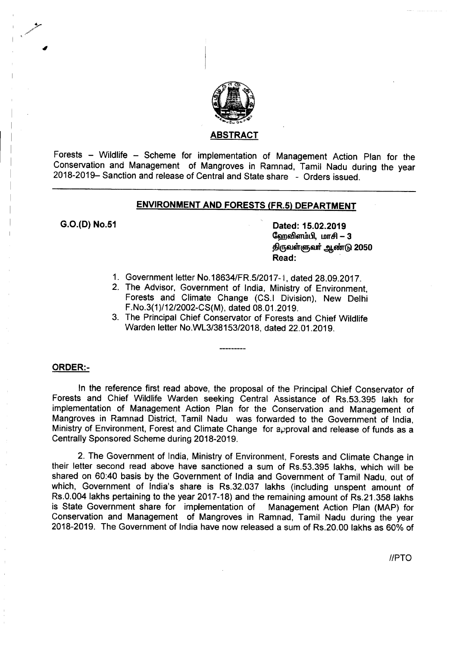

### <u>ABSTRACT</u>

Forests - Wildlife - Scheme for implementation of Management Action Plan for the Conservation and Management of Mangroves in Ramnad, Tamil Nadu during the year 2018-2019- Sanction and release of Central and State share - Orders issued.

## ENVIRONMENT AND FORESTS (FR.5) DEPARTMENT

G.O.(D) No.51 Dated: 15.02.2019

வேறவிளம்பி, மாசி  $-3$ திருவள்ளுவர் ஆண்டு 2050 Read: .

- 1. Government letter *No.18634/FR.5/2017-1,* dated 28.09.2017.
- 2. The Advisor, Government of India, Ministry of Environment, Forests and Climate Change (CS.I Division), New Delhi F.No.3(1)/12/2002-CS(M), dated 08.01.2019.
- 3. The Principal Chief Conservator of Forests and Chief Wildlife Warden letter *No.WL3/38153/2018,* dated 22.01.2019.

## ORDER:-

In the reference first read above, the proposal of the Principal Chief Conservator of Forests and Chief Wildlife Warden seeking Central Assistance of RS.53.395 lakh for implementation of Management Action Plan for the Conservation and Management of Mangroves in Ramnad District, Tamil Nadu was forwarded to the Government of India, Ministry of Environment, Forest and Climate Change for approval and release of funds as a Centrally Sponsored Scheme during 2018-2019.

2. The Government of India, Ministry of Environment, Forests and Climate Change in their letter second read above have sanctioned a sum of Rs.53.395 lakhs, which will be shared on 60:40 basis by the Government of India and Government of Tamil Nadu, out of which, Government of India's share is RS.32.037 lakhs (including unspent amount of Rs.0.004 lakhs pertaining to the year 2017-18) and the remaining amount of Rs.21.358 lakhs is State Government share for implementation of Management Action Plan (MAP) for Conservation and Management of Mangroves in Ramnad, Tamil Nadu during the year 2018-2019. The Government of India have now released a sum of Rs.20.00 lakhs as 60% of

*IIPTO*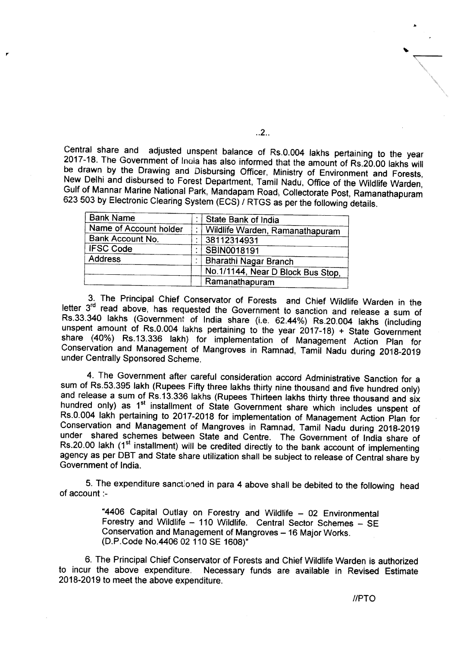Central share and adjusted unspent balance of Rs.0.004 lakhs pertaining to the year 2017-18. The Government of Inaia has also informed that the amount of Rs.20.00 lakhs will be drawn by the Drawing and Disbursing Officer, Ministry of Environment and Forests, New Delhi and disbursed to Forest Department, Tamil Nadu, Office of the Wildlife Warden, Gulf of Mannar Marine National Park, Mandapam Road, Collectorate Post, Ramanathapuram 623 503 by Electronic Clearing System (ECS) *I* RTGS as per the following details.

| <b>Bank Name</b>       | State Bank of India               |
|------------------------|-----------------------------------|
| Name of Account holder | Wildlife Warden, Ramanathapuram   |
| Bank Account No.       | 38112314931                       |
| <b>IFSC Code</b>       | SBIN0018191                       |
| <b>Address</b>         | <b>Bharathi Nagar Branch</b>      |
|                        | No.1/1144, Near D Block Bus Stop, |
|                        | Ramanathapuram                    |

3. The Principal Chief Conservator of Forests and Chief Wildlife Warden in the letter 3<sup>rd</sup> read above, has requested the Government to sanction and release a sum of Rs.33.340 lakhs (Government of India share (i.e. 62.44%) Rs.20.004 lakhs (including unspent amount of Rs.0.004 lakhs pertaining to the year 2017-18) + State Government share (40%) Rs.13.336 lakh) for implementation of Management Action Plan for Conservation and Management of Mangroves in Ramnad, Tamil Nadu during 2018-2019 under Centrally Sponsored Scheme.

4. The Government after careful consideration accord Administrative Sanction for a sum of Rs.53.395 lakh (Rupees Fifty three lakhs thirty nine thousand and five hundred only) and release a sum of Rs.13.336 lakhs (Rupees Thirteen lakhs thirty three thousand and six hundred only) as 1<sup>st</sup> installment of State Government share which includes unspent of Rs.0.004 lakh pertaining to 2017-2018 for implementation of Management Action Plan for Conservation and Management of Mangroves in Ramnad, Tamil Nadu during 2018-2019 under shared schemes between State and Centre. The Government of India share of Rs.20.00 lakh (1<sup>st</sup> installment) will be credited directly to the bank account of implementing agency as per DBT and State share utilization shall be subject to release of Central share by Government of India.

5. The expenditure sanctioned in para 4 above shall be debited to the following head of account :-

> "4406 Capital Outlay on Forestry and Wildlife - 02 Environmental Forestry and Wildlife - 110 Wildlife. Central Sector Schemes - SE Conservation and Management of Mangroves - 16 Major Works. (D.P.Code No.4406 02 110 SE 1608)"

6. The Principal Chief Conservator of Forests and Chief Wildlife Warden is authorized to incur the above expenditure. Necessary funds are available in Revised Estimate 2018-2019 to meet the above expenditure.